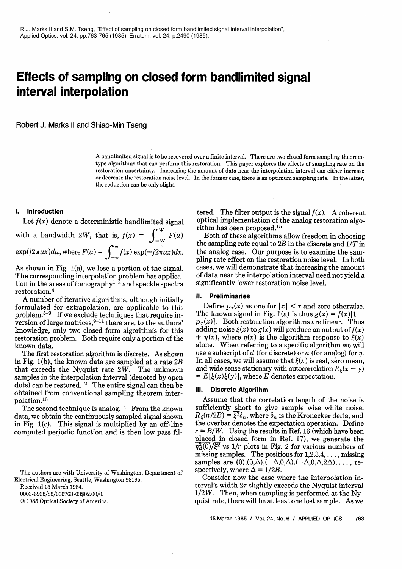# **Effects of sampling on closed form bandlimited signal interval interpolation**

Robert J. Marks **I1** and Shiao-Min Tseng

A bandlimited signal is to be recovered over a finite interval. There are two closed form sampling theoremtype algorithms that can perform this restoration. This paper explores the effects of sampling rate on the restoration uncertainty. Increasing the amount of data near the interpolation interval can either increase or decrease the restoration noise level. In the former case, there is an optimum sampling rate. In the latter, the reduction can be only slight.

with a bandwidth 2W, that is,  $f(x) = \int_{-\infty}^W F(u)$ 

The corresponding interpolation problem has applica-<br>tion in the areas of tomography<sup>1-3</sup> and speckle spectra significantly lower restoration noise level. tion in the areas of tomography<sup>1-3</sup> and speckle spectra restoration.<sup>4</sup>

A number of iterative algorithms, although initially **II. Preliminaries**<br>A number of iterative algorithms, although initially **II.** Pefine  $p_\tau(x)$  as one for  $|x| < \tau$  and zero otherwise. formulated for extrapolation, are applicable to this Define  $p_{\tau}(x)$  as one for  $|x| < \tau$  and zero otherwise.<br>problem.<sup>5-9</sup> If we exclude techniques that require in-<br>The known signal in Fig. 1(a) is thus  $g(x) = f(x)[1$ problem.<sup>5-9</sup> If we exclude techniques that require in-<br>version of large matrices,<sup>9-11</sup> there are, to the authors'  $p_{\tau}(x)$ ]. Both restoration algorithms are linear. Thus<br>knowledge, only two closed form algorithms for t knowledge, only two closed form algorithms for this adding noise  $\xi(x)$  to  $g(x)$  will produce an output of  $f(x)$  restoration problem. Both require only a portion of the  $+ \eta(x)$ , where  $\eta(x)$  is the algorithm response to restoration problem. Both require only a portion of the  $+\eta(x)$ , where  $\eta(x)$  is the algorithm response to  $\xi(x)$ <br>known data.

The first restoration algorithm is discrete. As shown in Fig. 1(b), the known data are sampled at a rate  $2B$ that exceeds the Nyquist rate  $2W$ . The unknown samples in the interpolation interval (denoted by open dots) can be restored.12 The entire signal can then be obtained from conventional sampling theorem interpolation.13

The second technique is analog.<sup>14</sup> From the known data, we obtain the continuously sampled signal shown in Fig. l(c). This signal is multiplied by an off-line computed periodic function and is then low pass fil-

0003-6935/85/060763-03\$02.00/0.

O 1985 Optical Society of America.

**I.** Introduction tered. The filter output is the signal  $f(x)$ . A coherent Let  $f(x)$  denote a deterministic bandlimited signal optical implementation of the analog restoration algorithm has been proposed.<sup>15</sup><br>Both of these algorithms allow freedom in choosing

the sampling rate equal to  $2B$  in the discrete and  $1/T$  in the analog case. Our purpose is to examine the sam- $\exp(j2\pi ux)du$ , where  $F(u) = \int_{-\infty}^{\infty} f(x) \exp(-j2\pi ux)dx$ . the analog case. Our purpose is to examine the sampling rate effect on the restoration noise level. In both As shown in Fig. 1(a), we lose a portion of the signal cases, As shown in Fig. 1(a), we lose a portion of the signal. cases, we will demonstrate that increasing the amount<br>The corresponding interpolation problem has applica- of data near the interpolation interval need not vield a

alone. When referring to a specific algorithm we will use a subscript of d (for discrete) or a (for analog) for  $n$ . In all cases, we will assume that  $\xi(x)$  is real, zero mean, and wide sense stationary with autocorrelation  $R_{\xi}(x - y)$  $= E[\xi(x)\xi(y)]$ , where E denotes expectation.

# **Ill. Discrete Algorithm**

Assume that the correlation length of the noise is sufficiently short to give sample wise white noise:  $R_{\xi}(n/2B) = \overline{\xi^2} \delta_n$ , where  $\delta_n$  is the Kronecker delta, and the overbar denotes the expectation operation. Define  $r = B/W$ . Using the results in Ref. 16 (which have been placed in closed form in Ref. 17), we generate the  $\eta_d^2(0)/\xi^2$  vs  $1/r$  plots in Fig. 2 for various numbers of missing samples. The positions for 1,2,3,4, . . . , missing samples are  $(0), (0,\Delta), (-\Delta,0,\Delta), (-\Delta,0,\Delta,2\Delta), \ldots$ , respectively, where  $\Delta = 1/2B$ .

Consider now the case where the interpolation interval's width  $2\tau$  slightly exceeds the Nyquist interval  $1/2W$ . Then, when sampling is performed at the Nyquist rate, there will be at least one lost sample. As we

The authors are with University of Washington, Department of Electrical Engineering, Seattle, Washington 98195.

Received 15 March 1984.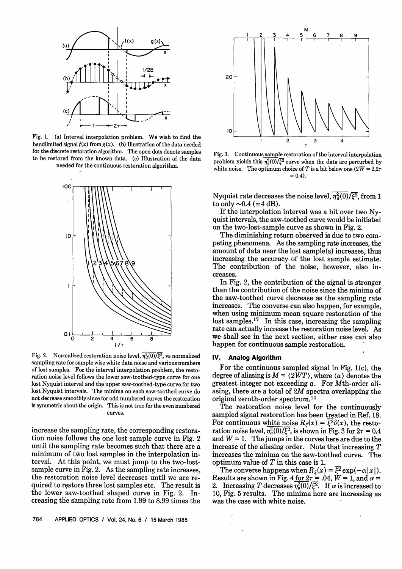

Fig. 1. (a) Interval interpolation problem. We wish to find the bandlimited signal  $f(x)$  from  $g(x)$ . (b) Illustration of the data needed for the discrete restoration algorithm. The open dots denote samples to be restored from the known data. (c) Illustration of the data needed for the continuous restoration algorithm.



Fig. 2. Normalized restoration noise level,  $\overline{\eta_d^2(0)}/\overline{\xi^2}$ , vs normalized sampling rate for sample wise white data noise and various numbers of lost samples. For the interval interpolation problem, the restoration noise level follows the lower saw-toothed-type curve for one lost Nyquist interval and the upper saw-toothed-type curve for two lost Nyquist intervals. The minima on each saw-toothed curve do not decrease smoothly since for odd numbered curves the restoration is symmetric about the origin. This is not true for the even numbered curves.

increase the sampling rate, the corresponding restoration noise follows the one lost sample curve in Fig. 2 until the sampling rate becomes such that there are a minimum of two lost samples in the interpolation interval. At this point, we must jump to the two-lostsample curve in Fig. 2. As the sampling rate increases, the restoration noise level decreases until we are required to restore three lost samples etc. The result is the lower saw-toothed shaped curve in Fig. 2. Increasing the sampling rate from 1.99 to 8.99 times the





Fig. **3.** Continuous sample restoration of the interval interpolation problem yields this  $\frac{n^2(0)}{\xi^2}$  curve when the data are perturbed by white noise. The optimum choice of T is a bit below one  $(2W = 2.2\tau)$  $= 0.4$ .

Nyquist rate decreases the noise level,  $\overline{n_a^2(0)}\sqrt{\xi^2}$ , from 1 to only  $\sim 0.4$  ( $\approx 4$  dB).

If the interpolation interval was a bit over two Nyquist intervals, the saw-toothed curve would be initiated on the two-lost-sample curve as shown in Fig. **2.** 

The diminishing return observed is due to two competing phenomena. As the sampling rate increases, the amount of data near the lost sample(s) increases, thus increasing the accuracy of the lost sample estimate. The contribution of the noise, however, also increases.

In Fig. 2, the contribution of the signal is stronger than the contribution of the noise since the minima of the saw-toothed curve decrease as the sampling rate increases. The converse can also happen, for example, when using minimum mean square restoration of the lost samples.<sup>17</sup> In this case, increasing the sampling rate can actually increase the restoration noise level. As we shall see in the next section, either case can also happen for continuous sample restoration.

### **IV. Analog Algorithm**

For the continuous sampled signal in Fig. l(c), the degree of aliasing is  $M = \langle 2WT \rangle$ , where  $\langle a \rangle$  denotes the greatest integer not exceeding a. For Mth-order aliasing, there are a total of 2M spectra overlapping the original zeroth-order spectrum.14

The restoration noise level for the continuously sampled signal restoration has been treated in Ref. 18. For continuous white noise  $R_{\xi}(x) = \overline{\xi^2} \delta(x)$ , the restoration noise level,  $\overline{\eta_a^2(0)}/\overline{\xi^2}$ , is shown in Fig. 3 for  $2\tau = 0.4$ and  $W = 1$ . The jumps in the curves here are due to the increase of the aliasing order. Note that increasing T increases the minima on the saw-toothed curve. The optimum value of T in this case is **1.** 

The converse happens when  $R_{\xi}(x) = \overline{\xi^2} \exp(-\alpha |x|)$ .<br>Results are shown in Fig. 4 <u>for  $2\tau = .04$ </u>,  $W = 1$ , and  $\alpha =$ 2. Increasing T decreases  $\eta_a^2(0)/\xi^2$ . If  $\alpha$  is increased to 10, Fig. 5 results. The minima here are increasing as was the case with white noise.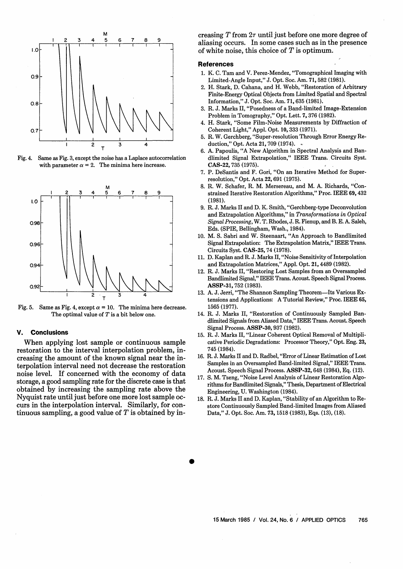

Fig. **4.** Same as Fig. **3,** except the noise has a Laplace autocorrelation with parameter  $\alpha = 2$ . The minima here increase.



Fig. 5. Same as Fig. 4, except  $\alpha = 10$ . The minima here decrease. The optimal value of  $T$  is a bit below one.

### **V. Conclusions**

When applying lost sample or continuous sample restoration to the interval interpolation problem, increasing the amount of the known signal near the interpolation interval need not decrease the restoration noise level. If concerned with the economy of data storage, a good sampling rate for the discrete case is that obtained by increasing the sampling rate above the Nyquist rate until just before one more lost sample occurs in the interpolation interval. Similarly, for continuous sampling, a good value of  $T$  is obtained by increasing  $T$  from  $2\tau$  until just before one more degree of aliasing occurs. In some cases such as in the presence of white noise, this choice of  $T$  is optimum.

#### **References**

- **1. K.** C. Tam and V. Perez-Mendez, "Tomographical Imaging with Limited-Angle Input," J. Opt. Soc. Am. **71,582 (1981).**
- **2. H.** Stark, D. Cahana, and H. Webb, "Restoration of Arbitrary Finite-Energy Optical Objects from Limited Spatial and Spectral Information," J. Opt. Soc. Am. **71,635 (1981).**
- **3.** R. J. Marks 11, "Posedness of a Band-limited Image-Extension Problem in Tomography," Opt. Lett. **7,376 (1982).**
- **4. H.** Stark, "Some Film-Noise Measurements by Diffraction of Coherent Light," Appl. Opt. **10,333 (1971).**
- **5.** R. W. Gerchberg, "Super-resolution Through Error Energy Reduction," Opt. Acta **21,709 (1974).** \*
- **6.** A. Papoulis, "A New Algorithm in Spectral Analysis and Bandlimited Signal Extrapolation," IEEE Trans. Circuits Syst. **CAS-22,735 (1975).**
- **7.** P. DeSantis and F. Gori, "On an Iterative Method for Superresolution," Opt. Acta **22,691 (1975).**
- **8.** R. W. Schafer, R. M. Mersereau, and M. A. Richards, "Constrained Iterative Restoration Algorithms," Proc. IEEE **69,432 (1981).**
- **9.** R. J. Marks I1 and D. K. Smith, "Gerchberg-type Deconvolution and Extrapolation Algorithms," in Transformations in Optical Signal Processing, W. T. Rhodes, J. R. Fienup, and B. E. A. Saleh, Eds. (SPIE, Bellingham, Wash., **1984).**
- **10.** M. S. Sabri and W. Steenaart, "An Approach to Bandlimited Signal Extrapolation: The Extrapolation Matrix," IEEE Trans. Circuits Syst. **CAS-25,74 (1978).**
- **11.** D. Kaplan and R. J. Marks 11, "Noise Sensitivity of Interpolation and Extrapolation Matrices," Appl. Opt. **21,4489 (1982).**
- **12.** R. J. Marks 11, "Restoring Lost Samples from an Oversampled Bandlimited Signal," IEEE Trans. Acoust. Speech Signal Process. **ASSP-31,752 (1983).**
- 13. A. J. Jerri, "The Shannon Sampling Theorem-Its Various Extensions and Applications: A Tutorial Review," Proc. IEEE **65, 1565 (1977).**
- **14.** R. J. Marks 11, "Restoration of Continuously Sampled Bandlimited Signals from Aliased Data," IEEE Trans. Acoust. Speech Signal Process. **ASSP-30,937 (1982).**
- **15.** R. J. Marks 11, "Linear Coherent Optical Removal of Multiplicative Periodic Degradations: Processor Theory," Opt. Eng. **23, 745 (1984).**
- **16.** R. J. Marks I1 and D. Radbel, "Error of Linear Estimation of Lost Samples in an Oversampled Band-limited Signal," IEEE Trans. Acoust. Speech Signal Process. **ASSP-32,648 (1984),** Eq. **(12).**
- **17.** S. M. Tseng, "Noise Level Analysis of Linear Restoration Algorithms for Bandlimited Signals," Thesis, Department of Electrical Engineering, U. Washington **(1984).**
- **18.** R. J. Marks I1 and D. Kaplan, "Stability of an Algorithm to Restore Continuously Sampled Band-limited Images from Aliased Data," J. Opt. Soc. Am. **73,1518 (1983),** Eqs. **(13), (18).**